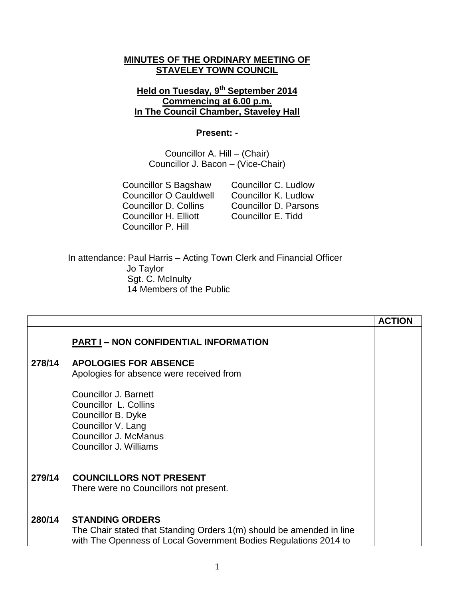### **MINUTES OF THE ORDINARY MEETING OF STAVELEY TOWN COUNCIL**

# **Held on Tuesday, 9 th September 2014 Commencing at 6.00 p.m. In The Council Chamber, Staveley Hall**

#### **Present: -**

Councillor A. Hill – (Chair) Councillor J. Bacon – (Vice-Chair)

Councillor O Cauldwell Councillor K. Ludlow<br>Councillor D. Collins Councillor D. Parsons Councillor H. Elliott Councillor E. Tidd Councillor P. Hill

Councillor S Bagshaw Councillor C. Ludlow Councillor D. Parsons

In attendance: Paul Harris – Acting Town Clerk and Financial Officer Jo Taylor Sgt. C. McInulty 14 Members of the Public

|        |                                                                                                                                                                    | <b>ACTION</b> |
|--------|--------------------------------------------------------------------------------------------------------------------------------------------------------------------|---------------|
|        | <b>PART I - NON CONFIDENTIAL INFORMATION</b>                                                                                                                       |               |
| 278/14 | <b>APOLOGIES FOR ABSENCE</b><br>Apologies for absence were received from                                                                                           |               |
|        | <b>Councillor J. Barnett</b><br>Councillor L. Collins<br>Councillor B. Dyke<br>Councillor V. Lang<br><b>Councillor J. McManus</b><br>Councillor J. Williams        |               |
| 279/14 | <b>COUNCILLORS NOT PRESENT</b><br>There were no Councillors not present.                                                                                           |               |
| 280/14 | <b>STANDING ORDERS</b><br>The Chair stated that Standing Orders 1(m) should be amended in line<br>with The Openness of Local Government Bodies Regulations 2014 to |               |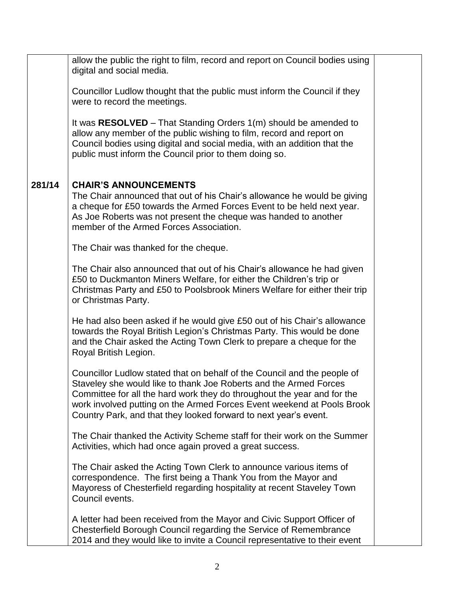|        | allow the public the right to film, record and report on Council bodies using<br>digital and social media.                                                                                                                                                                                                                                                             |  |
|--------|------------------------------------------------------------------------------------------------------------------------------------------------------------------------------------------------------------------------------------------------------------------------------------------------------------------------------------------------------------------------|--|
|        | Councillor Ludlow thought that the public must inform the Council if they<br>were to record the meetings.                                                                                                                                                                                                                                                              |  |
|        | It was $RESOLVED$ – That Standing Orders $1(m)$ should be amended to<br>allow any member of the public wishing to film, record and report on<br>Council bodies using digital and social media, with an addition that the<br>public must inform the Council prior to them doing so.                                                                                     |  |
| 281/14 | <b>CHAIR'S ANNOUNCEMENTS</b><br>The Chair announced that out of his Chair's allowance he would be giving<br>a cheque for £50 towards the Armed Forces Event to be held next year.<br>As Joe Roberts was not present the cheque was handed to another<br>member of the Armed Forces Association.                                                                        |  |
|        | The Chair was thanked for the cheque.                                                                                                                                                                                                                                                                                                                                  |  |
|        | The Chair also announced that out of his Chair's allowance he had given<br>£50 to Duckmanton Miners Welfare, for either the Children's trip or<br>Christmas Party and £50 to Poolsbrook Miners Welfare for either their trip<br>or Christmas Party.                                                                                                                    |  |
|        | He had also been asked if he would give £50 out of his Chair's allowance<br>towards the Royal British Legion's Christmas Party. This would be done<br>and the Chair asked the Acting Town Clerk to prepare a cheque for the<br>Royal British Legion.                                                                                                                   |  |
|        | Councillor Ludlow stated that on behalf of the Council and the people of<br>Staveley she would like to thank Joe Roberts and the Armed Forces<br>Committee for all the hard work they do throughout the year and for the<br>work involved putting on the Armed Forces Event weekend at Pools Brook<br>Country Park, and that they looked forward to next year's event. |  |
|        | The Chair thanked the Activity Scheme staff for their work on the Summer<br>Activities, which had once again proved a great success.                                                                                                                                                                                                                                   |  |
|        | The Chair asked the Acting Town Clerk to announce various items of<br>correspondence. The first being a Thank You from the Mayor and<br>Mayoress of Chesterfield regarding hospitality at recent Staveley Town<br>Council events.                                                                                                                                      |  |
|        | A letter had been received from the Mayor and Civic Support Officer of<br>Chesterfield Borough Council regarding the Service of Remembrance<br>2014 and they would like to invite a Council representative to their event                                                                                                                                              |  |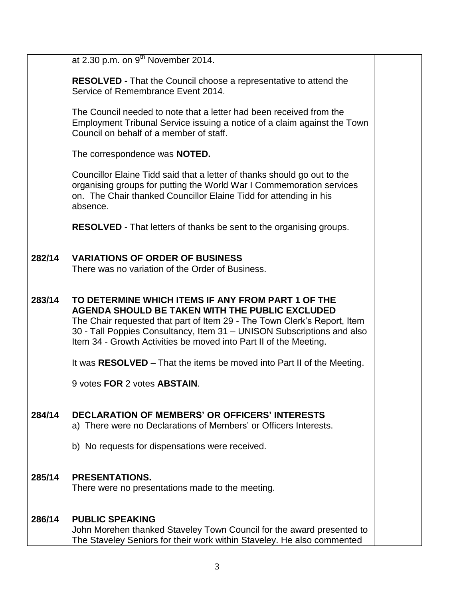|        | at 2.30 p.m. on $9^{th}$ November 2014.                                                                                                                                                                                                                                                                                          |  |
|--------|----------------------------------------------------------------------------------------------------------------------------------------------------------------------------------------------------------------------------------------------------------------------------------------------------------------------------------|--|
|        | <b>RESOLVED - That the Council choose a representative to attend the</b><br>Service of Remembrance Event 2014.                                                                                                                                                                                                                   |  |
|        | The Council needed to note that a letter had been received from the<br>Employment Tribunal Service issuing a notice of a claim against the Town<br>Council on behalf of a member of staff.                                                                                                                                       |  |
|        | The correspondence was NOTED.                                                                                                                                                                                                                                                                                                    |  |
|        | Councillor Elaine Tidd said that a letter of thanks should go out to the<br>organising groups for putting the World War I Commemoration services<br>on. The Chair thanked Councillor Elaine Tidd for attending in his<br>absence.                                                                                                |  |
|        | <b>RESOLVED</b> - That letters of thanks be sent to the organising groups.                                                                                                                                                                                                                                                       |  |
| 282/14 | <b>VARIATIONS OF ORDER OF BUSINESS</b><br>There was no variation of the Order of Business.                                                                                                                                                                                                                                       |  |
| 283/14 | TO DETERMINE WHICH ITEMS IF ANY FROM PART 1 OF THE<br>AGENDA SHOULD BE TAKEN WITH THE PUBLIC EXCLUDED<br>The Chair requested that part of Item 29 - The Town Clerk's Report, Item<br>30 - Tall Poppies Consultancy, Item 31 - UNISON Subscriptions and also<br>Item 34 - Growth Activities be moved into Part II of the Meeting. |  |
|        | It was RESOLVED – That the items be moved into Part II of the Meeting.                                                                                                                                                                                                                                                           |  |
|        | 9 votes FOR 2 votes ABSTAIN.                                                                                                                                                                                                                                                                                                     |  |
| 284/14 | <b>DECLARATION OF MEMBERS' OR OFFICERS' INTERESTS</b><br>a) There were no Declarations of Members' or Officers Interests.                                                                                                                                                                                                        |  |
|        | b) No requests for dispensations were received.                                                                                                                                                                                                                                                                                  |  |
| 285/14 | <b>PRESENTATIONS.</b><br>There were no presentations made to the meeting.                                                                                                                                                                                                                                                        |  |
| 286/14 | <b>PUBLIC SPEAKING</b><br>John Morehen thanked Staveley Town Council for the award presented to<br>The Staveley Seniors for their work within Staveley. He also commented                                                                                                                                                        |  |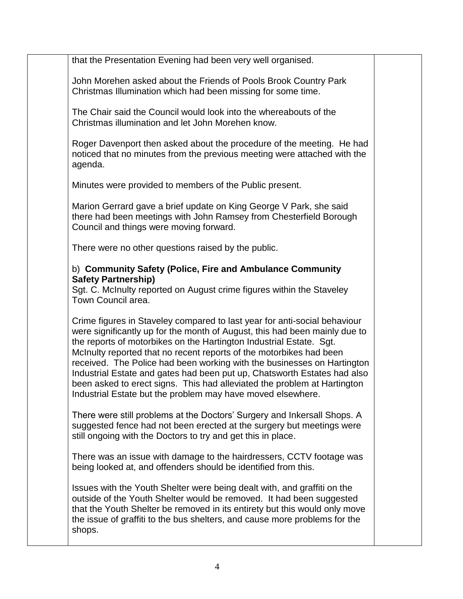that the Presentation Evening had been very well organised.

John Morehen asked about the Friends of Pools Brook Country Park Christmas Illumination which had been missing for some time.

The Chair said the Council would look into the whereabouts of the Christmas illumination and let John Morehen know.

Roger Davenport then asked about the procedure of the meeting. He had noticed that no minutes from the previous meeting were attached with the agenda.

Minutes were provided to members of the Public present.

Marion Gerrard gave a brief update on King George V Park, she said there had been meetings with John Ramsey from Chesterfield Borough Council and things were moving forward.

There were no other questions raised by the public.

# b) **Community Safety (Police, Fire and Ambulance Community Safety Partnership)**

Sgt. C. McInulty reported on August crime figures within the Staveley Town Council area.

Crime figures in Staveley compared to last year for anti-social behaviour were significantly up for the month of August, this had been mainly due to the reports of motorbikes on the Hartington Industrial Estate. Sgt. McInulty reported that no recent reports of the motorbikes had been received. The Police had been working with the businesses on Hartington Industrial Estate and gates had been put up, Chatsworth Estates had also been asked to erect signs. This had alleviated the problem at Hartington Industrial Estate but the problem may have moved elsewhere.

There were still problems at the Doctors' Surgery and Inkersall Shops. A suggested fence had not been erected at the surgery but meetings were still ongoing with the Doctors to try and get this in place.

There was an issue with damage to the hairdressers, CCTV footage was being looked at, and offenders should be identified from this.

Issues with the Youth Shelter were being dealt with, and graffiti on the outside of the Youth Shelter would be removed. It had been suggested that the Youth Shelter be removed in its entirety but this would only move the issue of graffiti to the bus shelters, and cause more problems for the shops.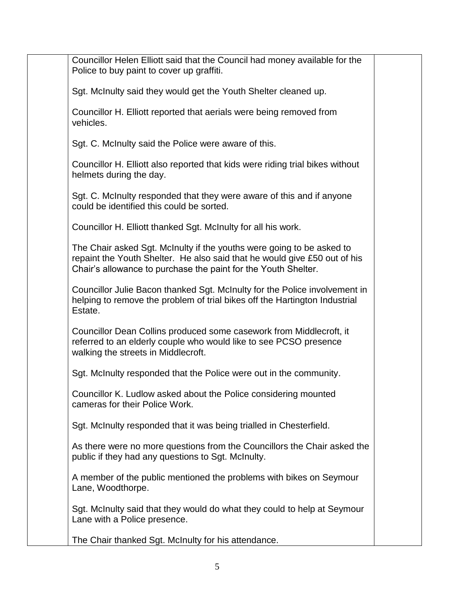Councillor Helen Elliott said that the Council had money available for the Police to buy paint to cover up graffiti. Sgt. McInulty said they would get the Youth Shelter cleaned up. Councillor H. Elliott reported that aerials were being removed from vehicles. Sgt. C. McInulty said the Police were aware of this. Councillor H. Elliott also reported that kids were riding trial bikes without helmets during the day. Sgt. C. McInulty responded that they were aware of this and if anyone could be identified this could be sorted. Councillor H. Elliott thanked Sgt. McInulty for all his work. The Chair asked Sgt. McInulty if the youths were going to be asked to repaint the Youth Shelter. He also said that he would give £50 out of his Chair's allowance to purchase the paint for the Youth Shelter. Councillor Julie Bacon thanked Sgt. McInulty for the Police involvement in helping to remove the problem of trial bikes off the Hartington Industrial Estate. Councillor Dean Collins produced some casework from Middlecroft, it referred to an elderly couple who would like to see PCSO presence walking the streets in Middlecroft. Sgt. McInulty responded that the Police were out in the community. Councillor K. Ludlow asked about the Police considering mounted cameras for their Police Work. Sgt. McInulty responded that it was being trialled in Chesterfield. As there were no more questions from the Councillors the Chair asked the public if they had any questions to Sgt. McInulty. A member of the public mentioned the problems with bikes on Seymour Lane, Woodthorpe. Sgt. McInulty said that they would do what they could to help at Seymour Lane with a Police presence. The Chair thanked Sgt. McInulty for his attendance.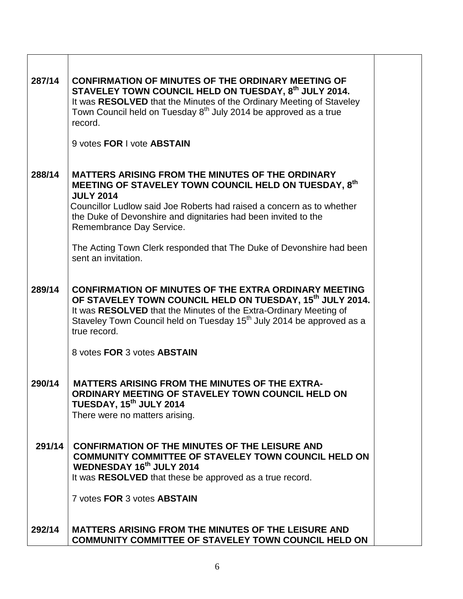| 287/14 | <b>CONFIRMATION OF MINUTES OF THE ORDINARY MEETING OF</b><br>STAVELEY TOWN COUNCIL HELD ON TUESDAY, 8th JULY 2014.<br>It was RESOLVED that the Minutes of the Ordinary Meeting of Staveley<br>Town Council held on Tuesday 8 <sup>th</sup> July 2014 be approved as a true<br>record.<br>9 votes FOR I vote ABSTAIN                                                                                        |  |
|--------|------------------------------------------------------------------------------------------------------------------------------------------------------------------------------------------------------------------------------------------------------------------------------------------------------------------------------------------------------------------------------------------------------------|--|
| 288/14 | <b>MATTERS ARISING FROM THE MINUTES OF THE ORDINARY</b><br>MEETING OF STAVELEY TOWN COUNCIL HELD ON TUESDAY, 8th<br><b>JULY 2014</b><br>Councillor Ludlow said Joe Roberts had raised a concern as to whether<br>the Duke of Devonshire and dignitaries had been invited to the<br>Remembrance Day Service.<br>The Acting Town Clerk responded that The Duke of Devonshire had been<br>sent an invitation. |  |
| 289/14 | <b>CONFIRMATION OF MINUTES OF THE EXTRA ORDINARY MEETING</b><br>OF STAVELEY TOWN COUNCIL HELD ON TUESDAY, 15 <sup>th</sup> JULY 2014.<br>It was RESOLVED that the Minutes of the Extra-Ordinary Meeting of<br>Staveley Town Council held on Tuesday 15 <sup>th</sup> July 2014 be approved as a<br>true record.<br>8 votes FOR 3 votes ABSTAIN                                                             |  |
| 290/14 | <b>MATTERS ARISING FROM THE MINUTES OF THE EXTRA-</b><br>ORDINARY MEETING OF STAVELEY TOWN COUNCIL HELD ON<br>TUESDAY, 15 <sup>th</sup> JULY 2014<br>There were no matters arising.                                                                                                                                                                                                                        |  |
| 291/14 | <b>CONFIRMATION OF THE MINUTES OF THE LEISURE AND</b><br><b>COMMUNITY COMMITTEE OF STAVELEY TOWN COUNCIL HELD ON</b><br>WEDNESDAY 16th JULY 2014<br>It was RESOLVED that these be approved as a true record.<br>7 votes FOR 3 votes ABSTAIN                                                                                                                                                                |  |
| 292/14 | <b>MATTERS ARISING FROM THE MINUTES OF THE LEISURE AND</b><br>COMMUNITY COMMITTEE OF STAVELEY TOWN COUNCIL HELD ON                                                                                                                                                                                                                                                                                         |  |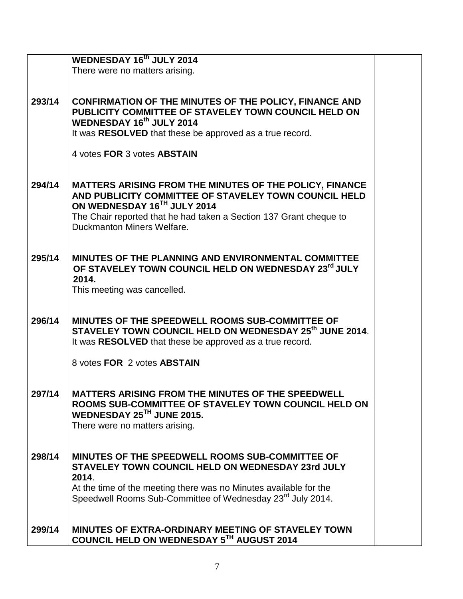|        | <b>WEDNESDAY 16th JULY 2014</b>                                                                                                                                                                                                                     |  |
|--------|-----------------------------------------------------------------------------------------------------------------------------------------------------------------------------------------------------------------------------------------------------|--|
|        | There were no matters arising.                                                                                                                                                                                                                      |  |
|        |                                                                                                                                                                                                                                                     |  |
| 293/14 | <b>CONFIRMATION OF THE MINUTES OF THE POLICY, FINANCE AND</b><br>PUBLICITY COMMITTEE OF STAVELEY TOWN COUNCIL HELD ON<br>WEDNESDAY 16th JULY 2014<br>It was RESOLVED that these be approved as a true record.<br>4 votes FOR 3 votes ABSTAIN        |  |
|        |                                                                                                                                                                                                                                                     |  |
| 294/14 | MATTERS ARISING FROM THE MINUTES OF THE POLICY, FINANCE<br>AND PUBLICITY COMMITTEE OF STAVELEY TOWN COUNCIL HELD<br>ON WEDNESDAY 16TH JULY 2014<br>The Chair reported that he had taken a Section 137 Grant cheque to<br>Duckmanton Miners Welfare. |  |
|        |                                                                                                                                                                                                                                                     |  |
| 295/14 | <b>MINUTES OF THE PLANNING AND ENVIRONMENTAL COMMITTEE</b><br>OF STAVELEY TOWN COUNCIL HELD ON WEDNESDAY 23rd JULY                                                                                                                                  |  |
|        | 2014.                                                                                                                                                                                                                                               |  |
|        | This meeting was cancelled.                                                                                                                                                                                                                         |  |
|        |                                                                                                                                                                                                                                                     |  |
| 296/14 | MINUTES OF THE SPEEDWELL ROOMS SUB-COMMITTEE OF<br>STAVELEY TOWN COUNCIL HELD ON WEDNESDAY 25th JUNE 2014.<br>It was RESOLVED that these be approved as a true record.                                                                              |  |
|        | 8 votes FOR 2 votes ABSTAIN                                                                                                                                                                                                                         |  |
|        |                                                                                                                                                                                                                                                     |  |
|        |                                                                                                                                                                                                                                                     |  |
| 297/14 | <b>MATTERS ARISING FROM THE MINUTES OF THE SPEEDWELL</b><br>ROOMS SUB-COMMITTEE OF STAVELEY TOWN COUNCIL HELD ON<br>WEDNESDAY 25TH JUNE 2015.<br>There were no matters arising.                                                                     |  |
|        |                                                                                                                                                                                                                                                     |  |
| 298/14 | MINUTES OF THE SPEEDWELL ROOMS SUB-COMMITTEE OF<br>STAVELEY TOWN COUNCIL HELD ON WEDNESDAY 23rd JULY<br>2014.                                                                                                                                       |  |
|        | At the time of the meeting there was no Minutes available for the                                                                                                                                                                                   |  |
|        | Speedwell Rooms Sub-Committee of Wednesday 23 <sup>rd</sup> July 2014.                                                                                                                                                                              |  |
|        |                                                                                                                                                                                                                                                     |  |
| 299/14 | <b>MINUTES OF EXTRA-ORDINARY MEETING OF STAVELEY TOWN</b><br>COUNCIL HELD ON WEDNESDAY 5TH AUGUST 2014                                                                                                                                              |  |
|        |                                                                                                                                                                                                                                                     |  |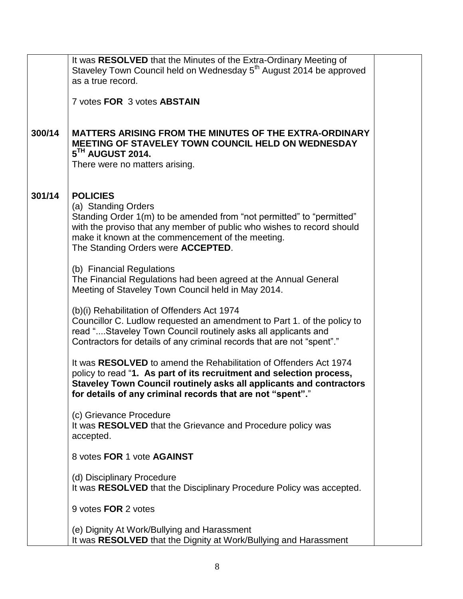|        | It was RESOLVED that the Minutes of the Extra-Ordinary Meeting of<br>Staveley Town Council held on Wednesday 5 <sup>th</sup> August 2014 be approved<br>as a true record.                                                                                                      |
|--------|--------------------------------------------------------------------------------------------------------------------------------------------------------------------------------------------------------------------------------------------------------------------------------|
|        | 7 votes FOR 3 votes ABSTAIN                                                                                                                                                                                                                                                    |
| 300/14 | <b>MATTERS ARISING FROM THE MINUTES OF THE EXTRA-ORDINARY</b><br>MEETING OF STAVELEY TOWN COUNCIL HELD ON WEDNESDAY<br>5TH AUGUST 2014.                                                                                                                                        |
|        | There were no matters arising.                                                                                                                                                                                                                                                 |
| 301/14 | <b>POLICIES</b><br>(a) Standing Orders<br>Standing Order 1(m) to be amended from "not permitted" to "permitted"                                                                                                                                                                |
|        | with the proviso that any member of public who wishes to record should<br>make it known at the commencement of the meeting.<br>The Standing Orders were <b>ACCEPTED</b> .                                                                                                      |
|        | (b) Financial Regulations<br>The Financial Regulations had been agreed at the Annual General<br>Meeting of Staveley Town Council held in May 2014.                                                                                                                             |
|        | (b)(i) Rehabilitation of Offenders Act 1974<br>Councillor C. Ludlow requested an amendment to Part 1. of the policy to<br>read "Staveley Town Council routinely asks all applicants and<br>Contractors for details of any criminal records that are not "spent"."              |
|        | It was RESOLVED to amend the Rehabilitation of Offenders Act 1974<br>policy to read "1. As part of its recruitment and selection process,<br>Staveley Town Council routinely asks all applicants and contractors<br>for details of any criminal records that are not "spent"." |
|        | (c) Grievance Procedure<br>It was RESOLVED that the Grievance and Procedure policy was<br>accepted.                                                                                                                                                                            |
|        | 8 votes FOR 1 vote AGAINST                                                                                                                                                                                                                                                     |
|        | (d) Disciplinary Procedure<br>It was RESOLVED that the Disciplinary Procedure Policy was accepted.                                                                                                                                                                             |
|        | 9 votes FOR 2 votes                                                                                                                                                                                                                                                            |
|        | (e) Dignity At Work/Bullying and Harassment<br>It was RESOLVED that the Dignity at Work/Bullying and Harassment                                                                                                                                                                |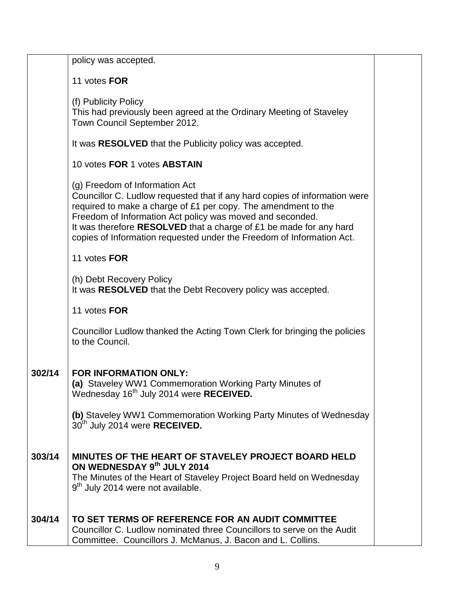|        | policy was accepted.                                                                                                                                                                                                                                                                                                                                                                       |  |
|--------|--------------------------------------------------------------------------------------------------------------------------------------------------------------------------------------------------------------------------------------------------------------------------------------------------------------------------------------------------------------------------------------------|--|
|        |                                                                                                                                                                                                                                                                                                                                                                                            |  |
|        | 11 votes FOR                                                                                                                                                                                                                                                                                                                                                                               |  |
|        | (f) Publicity Policy<br>This had previously been agreed at the Ordinary Meeting of Staveley<br>Town Council September 2012.                                                                                                                                                                                                                                                                |  |
|        | It was RESOLVED that the Publicity policy was accepted.                                                                                                                                                                                                                                                                                                                                    |  |
|        | 10 votes FOR 1 votes ABSTAIN                                                                                                                                                                                                                                                                                                                                                               |  |
|        | (g) Freedom of Information Act<br>Councillor C. Ludlow requested that if any hard copies of information were<br>required to make a charge of £1 per copy. The amendment to the<br>Freedom of Information Act policy was moved and seconded.<br>It was therefore RESOLVED that a charge of £1 be made for any hard<br>copies of Information requested under the Freedom of Information Act. |  |
|        | 11 votes FOR                                                                                                                                                                                                                                                                                                                                                                               |  |
|        | (h) Debt Recovery Policy<br>It was RESOLVED that the Debt Recovery policy was accepted.                                                                                                                                                                                                                                                                                                    |  |
|        | 11 votes FOR                                                                                                                                                                                                                                                                                                                                                                               |  |
|        | Councillor Ludlow thanked the Acting Town Clerk for bringing the policies<br>to the Council.                                                                                                                                                                                                                                                                                               |  |
| 302/14 | <b>FOR INFORMATION ONLY:</b><br>(a) Staveley WW1 Commemoration Working Party Minutes of<br>Wednesday 16 <sup>th</sup> July 2014 were RECEIVED.                                                                                                                                                                                                                                             |  |
|        | (b) Staveley WW1 Commemoration Working Party Minutes of Wednesday<br>30th July 2014 were RECEIVED.                                                                                                                                                                                                                                                                                         |  |
| 303/14 | MINUTES OF THE HEART OF STAVELEY PROJECT BOARD HELD<br>ON WEDNESDAY 9th JULY 2014<br>The Minutes of the Heart of Staveley Project Board held on Wednesday<br>9 <sup>th</sup> July 2014 were not available.                                                                                                                                                                                 |  |
| 304/14 | TO SET TERMS OF REFERENCE FOR AN AUDIT COMMITTEE<br>Councillor C. Ludlow nominated three Councillors to serve on the Audit<br>Committee. Councillors J. McManus, J. Bacon and L. Collins.                                                                                                                                                                                                  |  |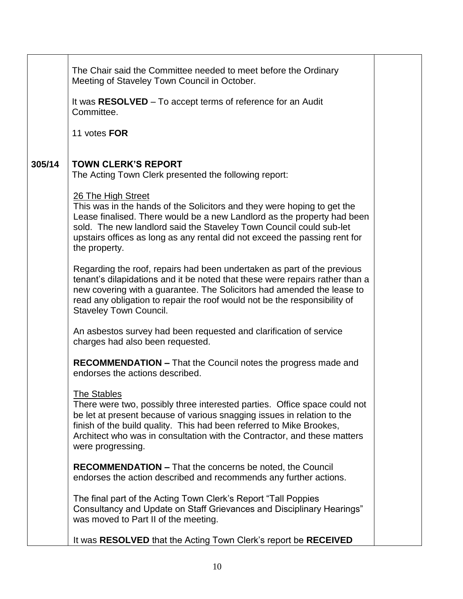|        | The Chair said the Committee needed to meet before the Ordinary<br>Meeting of Staveley Town Council in October.                                                                                                                                                                                                                                     |  |
|--------|-----------------------------------------------------------------------------------------------------------------------------------------------------------------------------------------------------------------------------------------------------------------------------------------------------------------------------------------------------|--|
|        | It was RESOLVED – To accept terms of reference for an Audit<br>Committee.                                                                                                                                                                                                                                                                           |  |
|        | 11 votes FOR                                                                                                                                                                                                                                                                                                                                        |  |
| 305/14 | <b>TOWN CLERK'S REPORT</b><br>The Acting Town Clerk presented the following report:                                                                                                                                                                                                                                                                 |  |
|        | 26 The High Street<br>This was in the hands of the Solicitors and they were hoping to get the<br>Lease finalised. There would be a new Landlord as the property had been<br>sold. The new landlord said the Staveley Town Council could sub-let<br>upstairs offices as long as any rental did not exceed the passing rent for<br>the property.      |  |
|        | Regarding the roof, repairs had been undertaken as part of the previous<br>tenant's dilapidations and it be noted that these were repairs rather than a<br>new covering with a guarantee. The Solicitors had amended the lease to<br>read any obligation to repair the roof would not be the responsibility of<br><b>Staveley Town Council.</b>     |  |
|        | An asbestos survey had been requested and clarification of service<br>charges had also been requested.                                                                                                                                                                                                                                              |  |
|        | <b>RECOMMENDATION - That the Council notes the progress made and</b><br>endorses the actions described.                                                                                                                                                                                                                                             |  |
|        | <b>The Stables</b><br>There were two, possibly three interested parties. Office space could not<br>be let at present because of various snagging issues in relation to the<br>finish of the build quality. This had been referred to Mike Brookes,<br>Architect who was in consultation with the Contractor, and these matters<br>were progressing. |  |
|        | <b>RECOMMENDATION – That the concerns be noted, the Council</b><br>endorses the action described and recommends any further actions.                                                                                                                                                                                                                |  |
|        | The final part of the Acting Town Clerk's Report "Tall Poppies"<br>Consultancy and Update on Staff Grievances and Disciplinary Hearings"<br>was moved to Part II of the meeting.                                                                                                                                                                    |  |
|        | It was RESOLVED that the Acting Town Clerk's report be RECEIVED                                                                                                                                                                                                                                                                                     |  |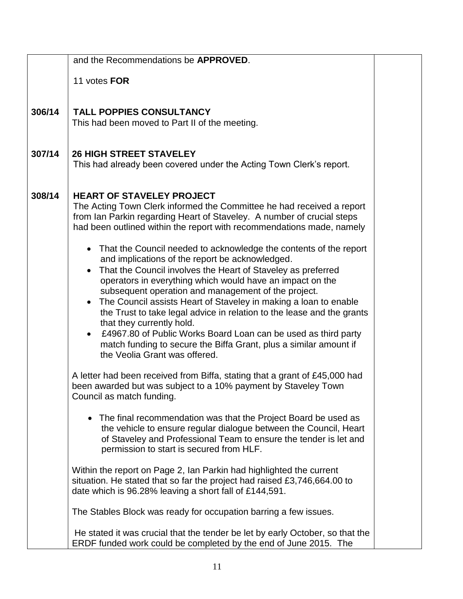|        | and the Recommendations be APPROVED.                                                                                                                                                                                                                                                                                                                                                                                                                                                                                                                                                                                                                                                                                                                                                                                    |  |
|--------|-------------------------------------------------------------------------------------------------------------------------------------------------------------------------------------------------------------------------------------------------------------------------------------------------------------------------------------------------------------------------------------------------------------------------------------------------------------------------------------------------------------------------------------------------------------------------------------------------------------------------------------------------------------------------------------------------------------------------------------------------------------------------------------------------------------------------|--|
|        | 11 votes FOR                                                                                                                                                                                                                                                                                                                                                                                                                                                                                                                                                                                                                                                                                                                                                                                                            |  |
| 306/14 | <b>TALL POPPIES CONSULTANCY</b><br>This had been moved to Part II of the meeting.                                                                                                                                                                                                                                                                                                                                                                                                                                                                                                                                                                                                                                                                                                                                       |  |
| 307/14 | <b>26 HIGH STREET STAVELEY</b><br>This had already been covered under the Acting Town Clerk's report.                                                                                                                                                                                                                                                                                                                                                                                                                                                                                                                                                                                                                                                                                                                   |  |
| 308/14 | <b>HEART OF STAVELEY PROJECT</b><br>The Acting Town Clerk informed the Committee he had received a report<br>from Ian Parkin regarding Heart of Staveley. A number of crucial steps<br>had been outlined within the report with recommendations made, namely<br>• That the Council needed to acknowledge the contents of the report<br>and implications of the report be acknowledged.<br>That the Council involves the Heart of Staveley as preferred<br>operators in everything which would have an impact on the<br>subsequent operation and management of the project.<br>The Council assists Heart of Staveley in making a loan to enable<br>the Trust to take legal advice in relation to the lease and the grants<br>that they currently hold.<br>£4967.80 of Public Works Board Loan can be used as third party |  |
|        | match funding to secure the Biffa Grant, plus a similar amount if<br>the Veolia Grant was offered.<br>A letter had been received from Biffa, stating that a grant of £45,000 had<br>been awarded but was subject to a 10% payment by Staveley Town                                                                                                                                                                                                                                                                                                                                                                                                                                                                                                                                                                      |  |
|        | Council as match funding.<br>• The final recommendation was that the Project Board be used as<br>the vehicle to ensure regular dialogue between the Council, Heart<br>of Staveley and Professional Team to ensure the tender is let and<br>permission to start is secured from HLF.                                                                                                                                                                                                                                                                                                                                                                                                                                                                                                                                     |  |
|        | Within the report on Page 2, Ian Parkin had highlighted the current<br>situation. He stated that so far the project had raised £3,746,664.00 to<br>date which is 96.28% leaving a short fall of £144,591.                                                                                                                                                                                                                                                                                                                                                                                                                                                                                                                                                                                                               |  |
|        | The Stables Block was ready for occupation barring a few issues.                                                                                                                                                                                                                                                                                                                                                                                                                                                                                                                                                                                                                                                                                                                                                        |  |
|        | He stated it was crucial that the tender be let by early October, so that the<br>ERDF funded work could be completed by the end of June 2015. The                                                                                                                                                                                                                                                                                                                                                                                                                                                                                                                                                                                                                                                                       |  |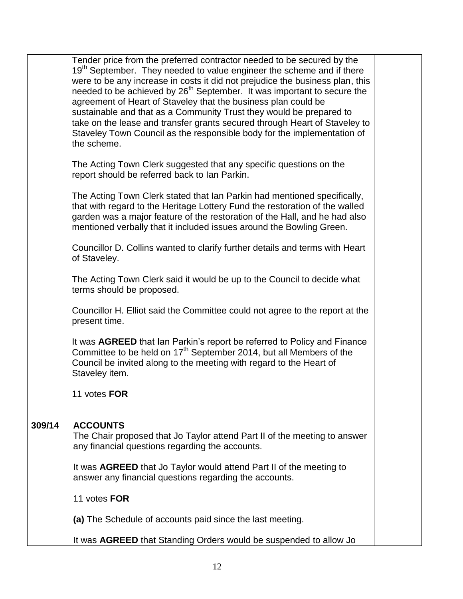|        | Tender price from the preferred contractor needed to be secured by the<br>19 <sup>th</sup> September. They needed to value engineer the scheme and if there<br>were to be any increase in costs it did not prejudice the business plan, this<br>needed to be achieved by 26 <sup>th</sup> September. It was important to secure the<br>agreement of Heart of Staveley that the business plan could be<br>sustainable and that as a Community Trust they would be prepared to |  |
|--------|------------------------------------------------------------------------------------------------------------------------------------------------------------------------------------------------------------------------------------------------------------------------------------------------------------------------------------------------------------------------------------------------------------------------------------------------------------------------------|--|
|        | take on the lease and transfer grants secured through Heart of Staveley to<br>Staveley Town Council as the responsible body for the implementation of<br>the scheme.                                                                                                                                                                                                                                                                                                         |  |
|        | The Acting Town Clerk suggested that any specific questions on the<br>report should be referred back to Ian Parkin.                                                                                                                                                                                                                                                                                                                                                          |  |
|        | The Acting Town Clerk stated that Ian Parkin had mentioned specifically,<br>that with regard to the Heritage Lottery Fund the restoration of the walled<br>garden was a major feature of the restoration of the Hall, and he had also<br>mentioned verbally that it included issues around the Bowling Green.                                                                                                                                                                |  |
|        | Councillor D. Collins wanted to clarify further details and terms with Heart<br>of Staveley.                                                                                                                                                                                                                                                                                                                                                                                 |  |
|        | The Acting Town Clerk said it would be up to the Council to decide what<br>terms should be proposed.                                                                                                                                                                                                                                                                                                                                                                         |  |
|        | Councillor H. Elliot said the Committee could not agree to the report at the<br>present time.                                                                                                                                                                                                                                                                                                                                                                                |  |
|        | It was AGREED that Ian Parkin's report be referred to Policy and Finance<br>Committee to be held on 17 <sup>th</sup> September 2014, but all Members of the<br>Council be invited along to the meeting with regard to the Heart of<br>Staveley item.                                                                                                                                                                                                                         |  |
|        | 11 votes FOR                                                                                                                                                                                                                                                                                                                                                                                                                                                                 |  |
| 309/14 | <b>ACCOUNTS</b><br>The Chair proposed that Jo Taylor attend Part II of the meeting to answer<br>any financial questions regarding the accounts.                                                                                                                                                                                                                                                                                                                              |  |
|        | It was <b>AGREED</b> that Jo Taylor would attend Part II of the meeting to<br>answer any financial questions regarding the accounts.                                                                                                                                                                                                                                                                                                                                         |  |
|        | 11 votes FOR                                                                                                                                                                                                                                                                                                                                                                                                                                                                 |  |
|        | (a) The Schedule of accounts paid since the last meeting.                                                                                                                                                                                                                                                                                                                                                                                                                    |  |
|        | It was AGREED that Standing Orders would be suspended to allow Jo                                                                                                                                                                                                                                                                                                                                                                                                            |  |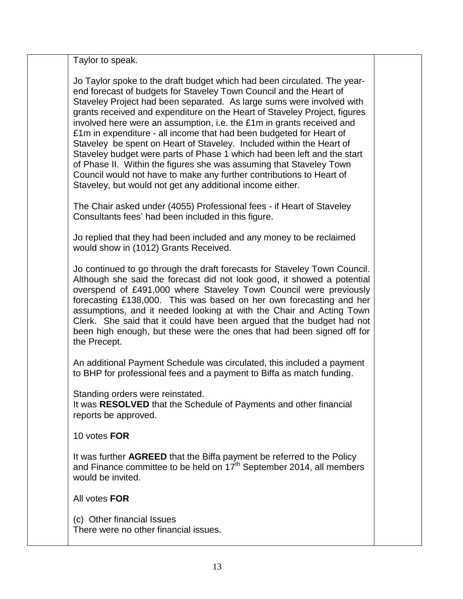Taylor to speak.

Jo Taylor spoke to the draft budget which had been circulated. The yearend forecast of budgets for Staveley Town Council and the Heart of Staveley Project had been separated. As large sums were involved with grants received and expenditure on the Heart of Staveley Project, figures involved here were an assumption, i.e. the £1m in grants received and £1m in expenditure - all income that had been budgeted for Heart of Staveley be spent on Heart of Staveley. Included within the Heart of Staveley budget were parts of Phase 1 which had been left and the start of Phase II. Within the figures she was assuming that Staveley Town Council would not have to make any further contributions to Heart of Staveley, but would not get any additional income either.

The Chair asked under (4055) Professional fees - if Heart of Staveley Consultants fees' had been included in this figure.

Jo replied that they had been included and any money to be reclaimed would show in (1012) Grants Received.

Jo continued to go through the draft forecasts for Staveley Town Council. Although she said the forecast did not look good, it showed a potential overspend of £491,000 where Staveley Town Council were previously forecasting £138,000. This was based on her own forecasting and her assumptions, and it needed looking at with the Chair and Acting Town Clerk. She said that it could have been argued that the budget had not been high enough, but these were the ones that had been signed off for the Precept.

An additional Payment Schedule was circulated, this included a payment to BHP for professional fees and a payment to Biffa as match funding.

Standing orders were reinstated.

It was **RESOLVED** that the Schedule of Payments and other financial reports be approved.

10 votes **FOR**

It was further **AGREED** that the Biffa payment be referred to the Policy and Finance committee to be held on  $17<sup>th</sup>$  September 2014, all members would be invited.

All votes **FOR**

(c) Other financial Issues There were no other financial issues.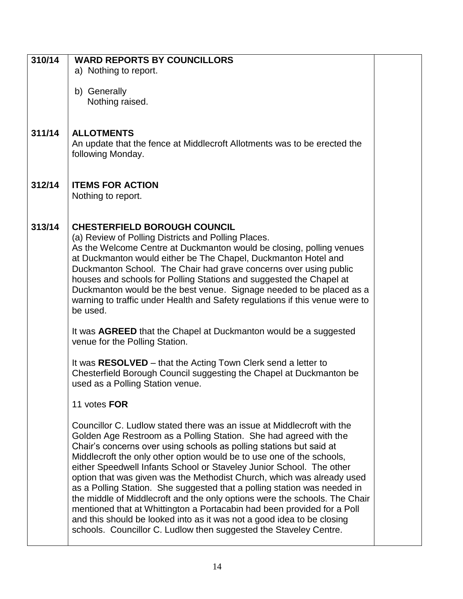| 310/14 | <b>WARD REPORTS BY COUNCILLORS</b><br>a) Nothing to report.                                                                                                                                                                                                                                                                                                                                                                                                                                                                                                                                                                                                                                                                                                                                                                       |
|--------|-----------------------------------------------------------------------------------------------------------------------------------------------------------------------------------------------------------------------------------------------------------------------------------------------------------------------------------------------------------------------------------------------------------------------------------------------------------------------------------------------------------------------------------------------------------------------------------------------------------------------------------------------------------------------------------------------------------------------------------------------------------------------------------------------------------------------------------|
|        | b) Generally<br>Nothing raised.                                                                                                                                                                                                                                                                                                                                                                                                                                                                                                                                                                                                                                                                                                                                                                                                   |
| 311/14 | <b>ALLOTMENTS</b><br>An update that the fence at Middlecroft Allotments was to be erected the<br>following Monday.                                                                                                                                                                                                                                                                                                                                                                                                                                                                                                                                                                                                                                                                                                                |
| 312/14 | <b>ITEMS FOR ACTION</b><br>Nothing to report.                                                                                                                                                                                                                                                                                                                                                                                                                                                                                                                                                                                                                                                                                                                                                                                     |
| 313/14 | <b>CHESTERFIELD BOROUGH COUNCIL</b><br>(a) Review of Polling Districts and Polling Places.<br>As the Welcome Centre at Duckmanton would be closing, polling venues<br>at Duckmanton would either be The Chapel, Duckmanton Hotel and<br>Duckmanton School. The Chair had grave concerns over using public<br>houses and schools for Polling Stations and suggested the Chapel at<br>Duckmanton would be the best venue. Signage needed to be placed as a<br>warning to traffic under Health and Safety regulations if this venue were to<br>be used.                                                                                                                                                                                                                                                                              |
|        | It was AGREED that the Chapel at Duckmanton would be a suggested<br>venue for the Polling Station.                                                                                                                                                                                                                                                                                                                                                                                                                                                                                                                                                                                                                                                                                                                                |
|        | It was <b>RESOLVED</b> – that the Acting Town Clerk send a letter to<br>Chesterfield Borough Council suggesting the Chapel at Duckmanton be<br>used as a Polling Station venue.                                                                                                                                                                                                                                                                                                                                                                                                                                                                                                                                                                                                                                                   |
|        | 11 votes FOR                                                                                                                                                                                                                                                                                                                                                                                                                                                                                                                                                                                                                                                                                                                                                                                                                      |
|        | Councillor C. Ludlow stated there was an issue at Middlecroft with the<br>Golden Age Restroom as a Polling Station. She had agreed with the<br>Chair's concerns over using schools as polling stations but said at<br>Middlecroft the only other option would be to use one of the schools,<br>either Speedwell Infants School or Staveley Junior School. The other<br>option that was given was the Methodist Church, which was already used<br>as a Polling Station. She suggested that a polling station was needed in<br>the middle of Middlecroft and the only options were the schools. The Chair<br>mentioned that at Whittington a Portacabin had been provided for a Poll<br>and this should be looked into as it was not a good idea to be closing<br>schools. Councillor C. Ludlow then suggested the Staveley Centre. |
|        |                                                                                                                                                                                                                                                                                                                                                                                                                                                                                                                                                                                                                                                                                                                                                                                                                                   |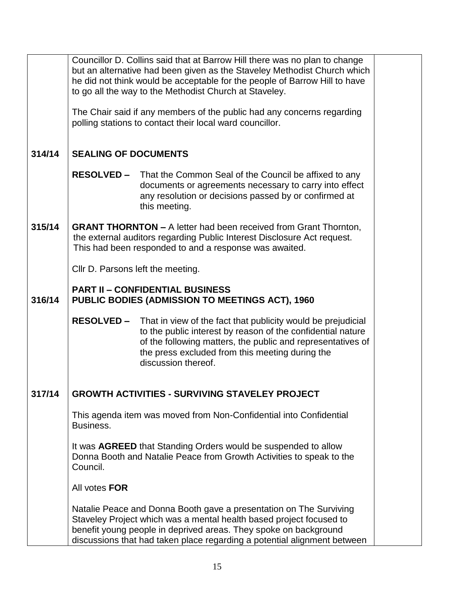|        | Councillor D. Collins said that at Barrow Hill there was no plan to change<br>but an alternative had been given as the Staveley Methodist Church which<br>he did not think would be acceptable for the people of Barrow Hill to have<br>to go all the way to the Methodist Church at Staveley. |                                                                                                                                                                                                                                                                      |  |  |  |
|--------|------------------------------------------------------------------------------------------------------------------------------------------------------------------------------------------------------------------------------------------------------------------------------------------------|----------------------------------------------------------------------------------------------------------------------------------------------------------------------------------------------------------------------------------------------------------------------|--|--|--|
|        | The Chair said if any members of the public had any concerns regarding<br>polling stations to contact their local ward councillor.                                                                                                                                                             |                                                                                                                                                                                                                                                                      |  |  |  |
| 314/14 | <b>SEALING OF DOCUMENTS</b>                                                                                                                                                                                                                                                                    |                                                                                                                                                                                                                                                                      |  |  |  |
|        |                                                                                                                                                                                                                                                                                                | <b>RESOLVED -</b> That the Common Seal of the Council be affixed to any<br>documents or agreements necessary to carry into effect<br>any resolution or decisions passed by or confirmed at<br>this meeting.                                                          |  |  |  |
| 315/14 | <b>GRANT THORNTON - A letter had been received from Grant Thornton,</b><br>the external auditors regarding Public Interest Disclosure Act request.<br>This had been responded to and a response was awaited.                                                                                   |                                                                                                                                                                                                                                                                      |  |  |  |
|        | CIIr D. Parsons left the meeting.                                                                                                                                                                                                                                                              |                                                                                                                                                                                                                                                                      |  |  |  |
| 316/14 | <b>PART II - CONFIDENTIAL BUSINESS</b><br><b>PUBLIC BODIES (ADMISSION TO MEETINGS ACT), 1960</b>                                                                                                                                                                                               |                                                                                                                                                                                                                                                                      |  |  |  |
|        | <b>RESOLVED -</b>                                                                                                                                                                                                                                                                              | That in view of the fact that publicity would be prejudicial<br>to the public interest by reason of the confidential nature<br>of the following matters, the public and representatives of<br>the press excluded from this meeting during the<br>discussion thereof. |  |  |  |
| 317/14 |                                                                                                                                                                                                                                                                                                | <b>GROWTH ACTIVITIES - SURVIVING STAVELEY PROJECT</b>                                                                                                                                                                                                                |  |  |  |
|        | This agenda item was moved from Non-Confidential into Confidential<br>Business.                                                                                                                                                                                                                |                                                                                                                                                                                                                                                                      |  |  |  |
|        | It was <b>AGREED</b> that Standing Orders would be suspended to allow<br>Donna Booth and Natalie Peace from Growth Activities to speak to the<br>Council.                                                                                                                                      |                                                                                                                                                                                                                                                                      |  |  |  |
|        | All votes FOR                                                                                                                                                                                                                                                                                  |                                                                                                                                                                                                                                                                      |  |  |  |
|        | Natalie Peace and Donna Booth gave a presentation on The Surviving<br>Staveley Project which was a mental health based project focused to<br>benefit young people in deprived areas. They spoke on background<br>discussions that had taken place regarding a potential alignment between      |                                                                                                                                                                                                                                                                      |  |  |  |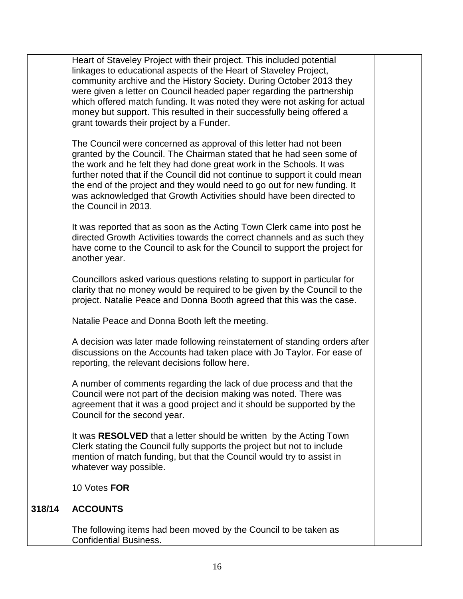|        | Heart of Staveley Project with their project. This included potential<br>linkages to educational aspects of the Heart of Staveley Project,<br>community archive and the History Society. During October 2013 they<br>were given a letter on Council headed paper regarding the partnership<br>which offered match funding. It was noted they were not asking for actual<br>money but support. This resulted in their successfully being offered a<br>grant towards their project by a Funder.<br>The Council were concerned as approval of this letter had not been<br>granted by the Council. The Chairman stated that he had seen some of<br>the work and he felt they had done great work in the Schools. It was<br>further noted that if the Council did not continue to support it could mean<br>the end of the project and they would need to go out for new funding. It<br>was acknowledged that Growth Activities should have been directed to<br>the Council in 2013.<br>It was reported that as soon as the Acting Town Clerk came into post he<br>directed Growth Activities towards the correct channels and as such they<br>have come to the Council to ask for the Council to support the project for<br>another year.<br>Councillors asked various questions relating to support in particular for<br>clarity that no money would be required to be given by the Council to the<br>project. Natalie Peace and Donna Booth agreed that this was the case.<br>Natalie Peace and Donna Booth left the meeting.<br>A decision was later made following reinstatement of standing orders after<br>discussions on the Accounts had taken place with Jo Taylor. For ease of<br>reporting, the relevant decisions follow here.<br>A number of comments regarding the lack of due process and that the<br>Council were not part of the decision making was noted. There was<br>agreement that it was a good project and it should be supported by the<br>Council for the second year.<br>It was RESOLVED that a letter should be written by the Acting Town<br>Clerk stating the Council fully supports the project but not to include<br>mention of match funding, but that the Council would try to assist in<br>whatever way possible. |  |
|--------|-------------------------------------------------------------------------------------------------------------------------------------------------------------------------------------------------------------------------------------------------------------------------------------------------------------------------------------------------------------------------------------------------------------------------------------------------------------------------------------------------------------------------------------------------------------------------------------------------------------------------------------------------------------------------------------------------------------------------------------------------------------------------------------------------------------------------------------------------------------------------------------------------------------------------------------------------------------------------------------------------------------------------------------------------------------------------------------------------------------------------------------------------------------------------------------------------------------------------------------------------------------------------------------------------------------------------------------------------------------------------------------------------------------------------------------------------------------------------------------------------------------------------------------------------------------------------------------------------------------------------------------------------------------------------------------------------------------------------------------------------------------------------------------------------------------------------------------------------------------------------------------------------------------------------------------------------------------------------------------------------------------------------------------------------------------------------------------------------------------------------------------------------------------------------------------------------------------------------------------------------|--|
|        | 10 Votes FOR                                                                                                                                                                                                                                                                                                                                                                                                                                                                                                                                                                                                                                                                                                                                                                                                                                                                                                                                                                                                                                                                                                                                                                                                                                                                                                                                                                                                                                                                                                                                                                                                                                                                                                                                                                                                                                                                                                                                                                                                                                                                                                                                                                                                                                    |  |
| 318/14 | <b>ACCOUNTS</b>                                                                                                                                                                                                                                                                                                                                                                                                                                                                                                                                                                                                                                                                                                                                                                                                                                                                                                                                                                                                                                                                                                                                                                                                                                                                                                                                                                                                                                                                                                                                                                                                                                                                                                                                                                                                                                                                                                                                                                                                                                                                                                                                                                                                                                 |  |
|        | The following items had been moved by the Council to be taken as<br><b>Confidential Business.</b>                                                                                                                                                                                                                                                                                                                                                                                                                                                                                                                                                                                                                                                                                                                                                                                                                                                                                                                                                                                                                                                                                                                                                                                                                                                                                                                                                                                                                                                                                                                                                                                                                                                                                                                                                                                                                                                                                                                                                                                                                                                                                                                                               |  |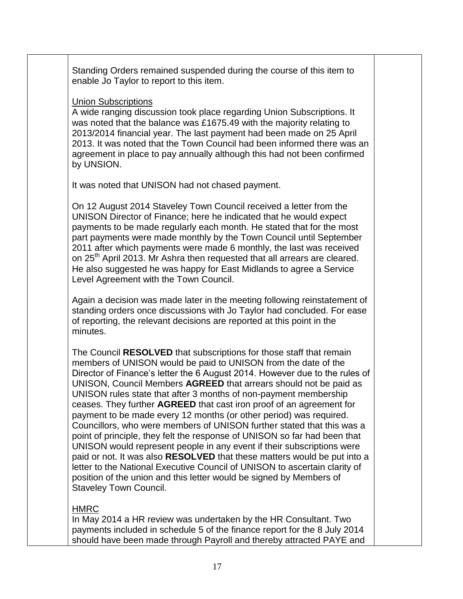Standing Orders remained suspended during the course of this item to enable Jo Taylor to report to this item.

### Union Subscriptions

A wide ranging discussion took place regarding Union Subscriptions. It was noted that the balance was £1675.49 with the majority relating to 2013/2014 financial year. The last payment had been made on 25 April 2013. It was noted that the Town Council had been informed there was an agreement in place to pay annually although this had not been confirmed by UNSION.

It was noted that UNISON had not chased payment.

On 12 August 2014 Staveley Town Council received a letter from the UNISON Director of Finance; here he indicated that he would expect payments to be made regularly each month. He stated that for the most part payments were made monthly by the Town Council until September 2011 after which payments were made 6 monthly, the last was received on 25<sup>th</sup> April 2013. Mr Ashra then requested that all arrears are cleared. He also suggested he was happy for East Midlands to agree a Service Level Agreement with the Town Council.

Again a decision was made later in the meeting following reinstatement of standing orders once discussions with Jo Taylor had concluded. For ease of reporting, the relevant decisions are reported at this point in the minutes.

The Council **RESOLVED** that subscriptions for those staff that remain members of UNISON would be paid to UNISON from the date of the Director of Finance's letter the 6 August 2014. However due to the rules of UNISON, Council Members **AGREED** that arrears should not be paid as UNISON rules state that after 3 months of non-payment membership ceases. They further **AGREED** that cast iron proof of an agreement for payment to be made every 12 months (or other period) was required. Councillors, who were members of UNISON further stated that this was a point of principle, they felt the response of UNISON so far had been that UNISON would represent people in any event if their subscriptions were paid or not. It was also **RESOLVED** that these matters would be put into a letter to the National Executive Council of UNISON to ascertain clarity of position of the union and this letter would be signed by Members of Staveley Town Council.

# HMRC

In May 2014 a HR review was undertaken by the HR Consultant. Two payments included in schedule 5 of the finance report for the 8 July 2014 should have been made through Payroll and thereby attracted PAYE and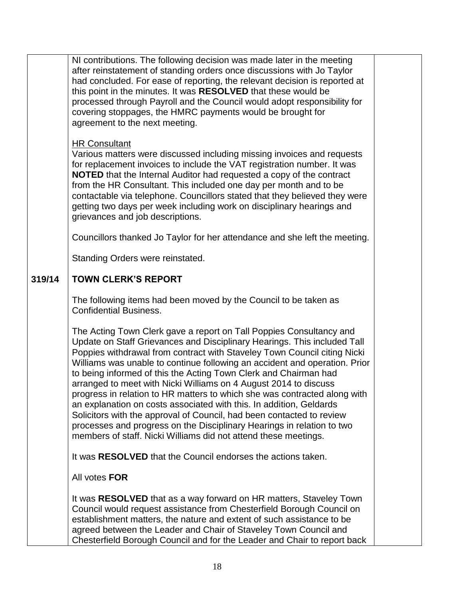|        | NI contributions. The following decision was made later in the meeting<br>after reinstatement of standing orders once discussions with Jo Taylor<br>had concluded. For ease of reporting, the relevant decision is reported at<br>this point in the minutes. It was RESOLVED that these would be<br>processed through Payroll and the Council would adopt responsibility for<br>covering stoppages, the HMRC payments would be brought for<br>agreement to the next meeting.<br><b>HR Consultant</b><br>Various matters were discussed including missing invoices and requests<br>for replacement invoices to include the VAT registration number. It was<br><b>NOTED</b> that the Internal Auditor had requested a copy of the contract<br>from the HR Consultant. This included one day per month and to be<br>contactable via telephone. Councillors stated that they believed they were<br>getting two days per week including work on disciplinary hearings and<br>grievances and job descriptions.<br>Councillors thanked Jo Taylor for her attendance and she left the meeting.<br>Standing Orders were reinstated. |  |
|--------|----------------------------------------------------------------------------------------------------------------------------------------------------------------------------------------------------------------------------------------------------------------------------------------------------------------------------------------------------------------------------------------------------------------------------------------------------------------------------------------------------------------------------------------------------------------------------------------------------------------------------------------------------------------------------------------------------------------------------------------------------------------------------------------------------------------------------------------------------------------------------------------------------------------------------------------------------------------------------------------------------------------------------------------------------------------------------------------------------------------------------|--|
| 319/14 | <b>TOWN CLERK'S REPORT</b>                                                                                                                                                                                                                                                                                                                                                                                                                                                                                                                                                                                                                                                                                                                                                                                                                                                                                                                                                                                                                                                                                                 |  |
|        | The following items had been moved by the Council to be taken as<br><b>Confidential Business.</b>                                                                                                                                                                                                                                                                                                                                                                                                                                                                                                                                                                                                                                                                                                                                                                                                                                                                                                                                                                                                                          |  |
|        | The Acting Town Clerk gave a report on Tall Poppies Consultancy and<br>Update on Staff Grievances and Disciplinary Hearings. This included Tall<br>Poppies withdrawal from contract with Staveley Town Council citing Nicki<br>Williams was unable to continue following an accident and operation. Prior<br>to being informed of this the Acting Town Clerk and Chairman had<br>arranged to meet with Nicki Williams on 4 August 2014 to discuss<br>progress in relation to HR matters to which she was contracted along with<br>an explanation on costs associated with this. In addition, Geldards<br>Solicitors with the approval of Council, had been contacted to review<br>processes and progress on the Disciplinary Hearings in relation to two<br>members of staff. Nicki Williams did not attend these meetings.                                                                                                                                                                                                                                                                                                |  |
|        | It was RESOLVED that the Council endorses the actions taken.                                                                                                                                                                                                                                                                                                                                                                                                                                                                                                                                                                                                                                                                                                                                                                                                                                                                                                                                                                                                                                                               |  |
|        | All votes FOR                                                                                                                                                                                                                                                                                                                                                                                                                                                                                                                                                                                                                                                                                                                                                                                                                                                                                                                                                                                                                                                                                                              |  |
|        | It was RESOLVED that as a way forward on HR matters, Staveley Town<br>Council would request assistance from Chesterfield Borough Council on<br>establishment matters, the nature and extent of such assistance to be<br>agreed between the Leader and Chair of Staveley Town Council and<br>Chesterfield Borough Council and for the Leader and Chair to report back                                                                                                                                                                                                                                                                                                                                                                                                                                                                                                                                                                                                                                                                                                                                                       |  |